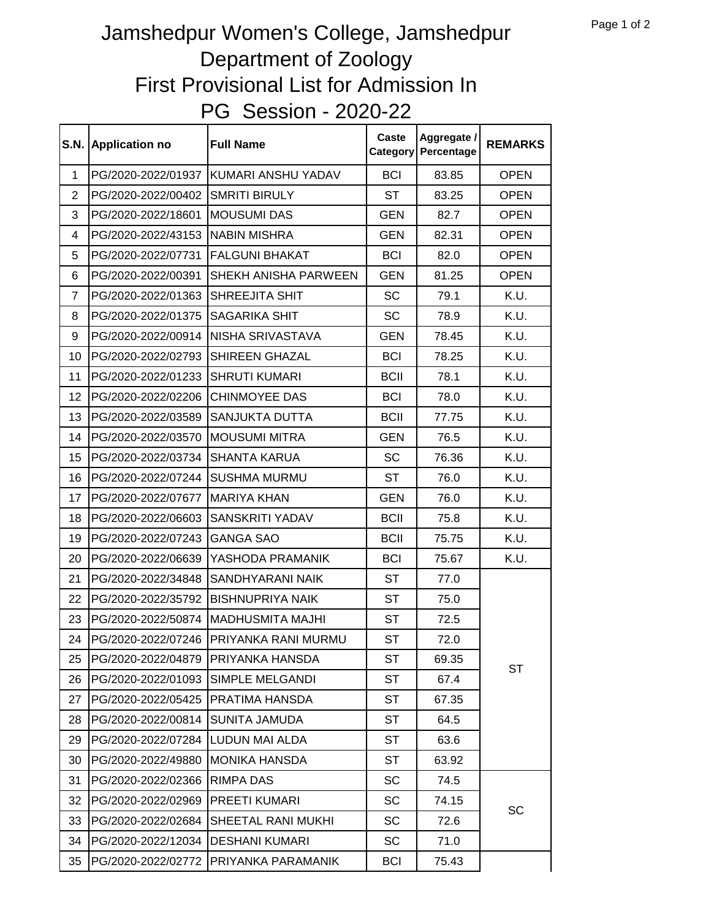## PG Session - 2020-22 Jamshedpur Women's College, Jamshedpur Department of Zoology First Provisional List for Admission In

| <b>S.N.</b>    | <b>Application no</b> | <b>Full Name</b>        | Caste<br>Category | Aggregate /<br>Percentage | <b>REMARKS</b> |
|----------------|-----------------------|-------------------------|-------------------|---------------------------|----------------|
| 1              | PG/2020-2022/01937    | KUMARI ANSHU YADAV      | <b>BCI</b>        | 83.85                     | <b>OPEN</b>    |
| $\overline{2}$ | PG/2020-2022/00402    | <b>SMRITI BIRULY</b>    | <b>ST</b>         | 83.25                     | <b>OPEN</b>    |
| 3              | PG/2020-2022/18601    | <b>MOUSUMI DAS</b>      | <b>GEN</b>        | 82.7                      | <b>OPEN</b>    |
| 4              | PG/2020-2022/43153    | <b>NABIN MISHRA</b>     | <b>GEN</b>        | 82.31                     | <b>OPEN</b>    |
| 5              | PG/2020-2022/07731    | <b>FALGUNI BHAKAT</b>   | <b>BCI</b>        | 82.0                      | <b>OPEN</b>    |
| 6              | PG/2020-2022/00391    | SHEKH ANISHA PARWEEN    | <b>GEN</b>        | 81.25                     | <b>OPEN</b>    |
| $\overline{7}$ | PG/2020-2022/01363    | SHREEJITA SHIT          | <b>SC</b>         | 79.1                      | K.U.           |
| 8              | PG/2020-2022/01375    | SAGARIKA SHIT           | SC                | 78.9                      | K.U.           |
| 9              | PG/2020-2022/00914    | NISHA SRIVASTAVA        | <b>GEN</b>        | 78.45                     | K.U.           |
| 10             | PG/2020-2022/02793    | SHIREEN GHAZAL          | <b>BCI</b>        | 78.25                     | K.U.           |
| 11             | PG/2020-2022/01233    | <b>SHRUTI KUMARI</b>    | <b>BCII</b>       | 78.1                      | K.U.           |
| 12             | PG/2020-2022/02206    | <b>CHINMOYEE DAS</b>    | <b>BCI</b>        | 78.0                      | K.U.           |
| 13             | PG/2020-2022/03589    | SANJUKTA DUTTA          | <b>BCII</b>       | 77.75                     | K.U.           |
| 14             | PG/2020-2022/03570    | <b>MOUSUMI MITRA</b>    | <b>GEN</b>        | 76.5                      | K.U.           |
| 15             | PG/2020-2022/03734    | <b>SHANTA KARUA</b>     | <b>SC</b>         | 76.36                     | K.U.           |
| 16             | PG/2020-2022/07244    | <b>SUSHMA MURMU</b>     | <b>ST</b>         | 76.0                      | K.U.           |
| 17             | PG/2020-2022/07677    | <b>MARIYA KHAN</b>      | <b>GEN</b>        | 76.0                      | K.U.           |
| 18             | PG/2020-2022/06603    | SANSKRITI YADAV         | <b>BCII</b>       | 75.8                      | K.U.           |
| 19             | PG/2020-2022/07243    | <b>GANGA SAO</b>        | <b>BCII</b>       | 75.75                     | K.U.           |
| 20             | PG/2020-2022/06639    | YASHODA PRAMANIK        | <b>BCI</b>        | 75.67                     | K.U.           |
| 21             | PG/2020-2022/34848    | SANDHYARANI NAIK        | <b>ST</b>         | 77.0                      |                |
| 22             | PG/2020-2022/35792    | <b>BISHNUPRIYA NAIK</b> | <b>ST</b>         | 75.0                      |                |
| 23             | PG/2020-2022/50874    | <b>MADHUSMITA MAJHI</b> | <b>ST</b>         | 72.5                      |                |
| 24             | PG/2020-2022/07246    | PRIYANKA RANI MURMU     | ST                | 72.0                      |                |
| 25             | PG/2020-2022/04879    | PRIYANKA HANSDA         | ST                | 69.35                     | <b>ST</b>      |
| 26             | PG/2020-2022/01093    | SIMPLE MELGANDI         | ST                | 67.4                      |                |
| 27             | PG/2020-2022/05425    | PRATIMA HANSDA          | ST                | 67.35                     |                |
| 28             | PG/2020-2022/00814    | <b>SUNITA JAMUDA</b>    | ST                | 64.5                      |                |
| 29             | PG/2020-2022/07284    | LUDUN MAI ALDA          | <b>ST</b>         | 63.6                      |                |
| 30             | PG/2020-2022/49880    | <b>MONIKA HANSDA</b>    | <b>ST</b>         | 63.92                     |                |
| 31             | PG/2020-2022/02366    | RIMPA DAS               | SC                | 74.5                      |                |
| 32             | PG/2020-2022/02969    | PREETI KUMARI           | SC                | 74.15                     | SC             |
| 33             | PG/2020-2022/02684    | SHEETAL RANI MUKHI      | SC                | 72.6                      |                |
| 34             | PG/2020-2022/12034    | <b>DESHANI KUMARI</b>   | SC                | 71.0                      |                |
| 35             | PG/2020-2022/02772    | PRIYANKA PARAMANIK      | <b>BCI</b>        | 75.43                     |                |